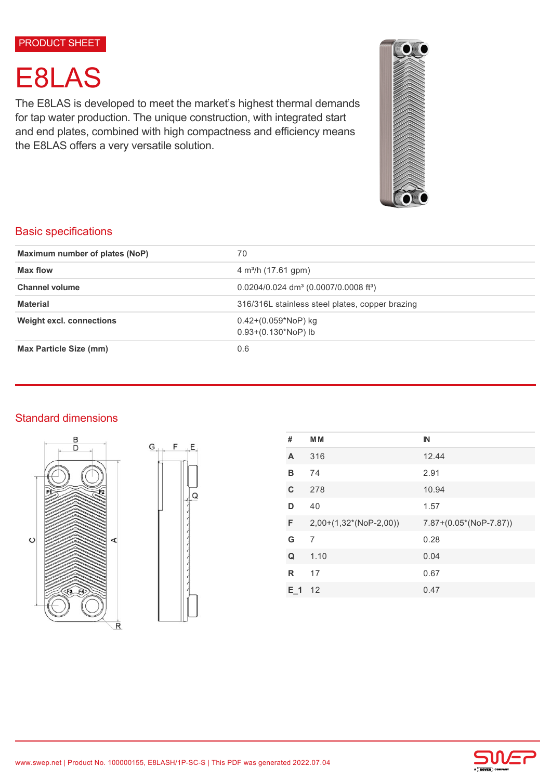#### PRODUCT SHEET

# E8LAS

The E8LAS is developed to meet the market's highest thermal demands for tap water production. The unique construction, with integrated start and end plates, combined with high compactness and efficiency means the E8LAS offers a very versatile solution.



# Basic specifications

| Maximum number of plates (NoP)  | 70                                                              |  |
|---------------------------------|-----------------------------------------------------------------|--|
| Max flow                        | $4 \text{ m}^3$ /h (17.61 gpm)                                  |  |
| <b>Channel volume</b>           | $0.0204/0.024$ dm <sup>3</sup> (0.0007/0.0008 ft <sup>3</sup> ) |  |
| <b>Material</b>                 | 316/316L stainless steel plates, copper brazing                 |  |
| <b>Weight excl. connections</b> | $0.42+(0.059*NoP)$ kg<br>$0.93+(0.130*NoP)$ lb                  |  |
| <b>Max Particle Size (mm)</b>   | 0.6                                                             |  |

# Standard dimensions





| #     | <b>MM</b>                | $\mathbb{N}$             |
|-------|--------------------------|--------------------------|
| A     | 316                      | 12.44                    |
| в     | 74                       | 2.91                     |
| C     | 278                      | 10.94                    |
| D     | 40                       | 1.57                     |
| F     | $2,00+(1,32*(NoP-2,00))$ | $7.87+(0.05*(NoP-7.87))$ |
| G     | 7                        | 0.28                     |
| Q     | 1.10                     | 0.04                     |
| R     | 17                       | 0.67                     |
| $E_1$ | 12                       | 0.47                     |